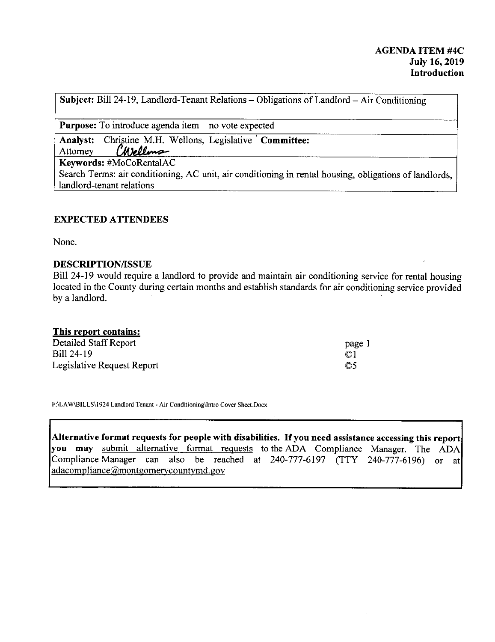**Subject:** Bill 24-19, Landlord-Tenant Relations - Obligations of Landlord - Air Conditioning

**Purpose:** To introduce agenda item – no vote expected

Analyst: Christine M.H. Wellons, Legislative **Committee:** 

Attorney *(Wellms*)

**Keywords:** #MoCoRentalAC

Search Terms: air conditioning, AC unit, air conditioning in rental housing, obligations of landlords, landlord-tenant relations

## **EXPECTED ATTENDEES**

None.

## **DESCRIPTION/ISSUE**

Bill 24-19 would require a landlord to provide and maintain air conditioning service for rental housing located in the County during certain months and establish standards for air conditioning service provided by a landlord.

## **This report contains:**

| Detailed Staff Report      | page 1         |
|----------------------------|----------------|
| Bill 24-19                 | $\circledcirc$ |
| Legislative Request Report | $\circ$        |

**F:\LA W\BILLS\l 924 Landlord Tenant - Air Conditioning\Intro Cover Sheet.Docx** 

**Alternative format requests for people with disabilities. If you need assistance accessing this report you may** submit alternative format requests to the ADA Compliance Manager. The ADA Compliance Manager can also be reached at 240-777-6197 (TTY 240-777-6196) or at adacompliance@montgomerycountymd.gov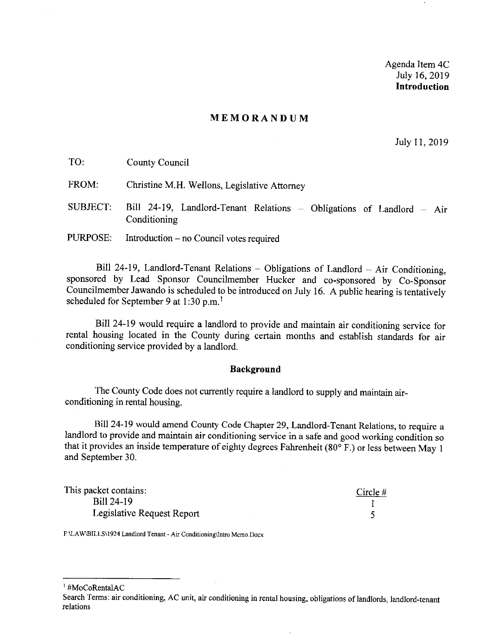Agenda Item 4C July 16, 2019 **Introduction** 

#### **MEMORANDUM**

July 11, 2019

| TO:      | County Council                                                                        |
|----------|---------------------------------------------------------------------------------------|
| FROM:    | Christine M.H. Wellons, Legislative Attorney                                          |
| SUBJECT. | Bill 24-19, Landlord-Tenant Relations - Obligations of Landlord - Air<br>Conditioning |
| PURPOSE: | Introduction – no Council votes required                                              |

Bill 24-19, Landlord-Tenant Relations - Obligations of Landlord - Air Conditioning, sponsored by Lead Sponsor Councilmember Hucker and co-sponsored by Co-Sponsor Councilmember Jawando is scheduled to be introduced on July 16. A public hearing is tentatively scheduled for September 9 at 1:30 p.m.<sup>1</sup>

Bill 24-19 would require a landlord to provide and maintain air conditioning service for rental housing located in the County during certain months and establish standards for air conditioning service provided by a landlord.

### **Background**

The County Code does not currently require a landlord to supply and maintain airconditioning in rental housing.

Bill 24-19 would amend County Code Chapter 29, Landlord-Tenant Relations, to require a landlord to provide and maintain air conditioning service in a safe and good working condition so that it provides an inside temperature of eighty degrees Fahrenheit (80° F.) or less between May I and September 30.

| This packet contains:      | Circle $#$ |
|----------------------------|------------|
| Bill 24-19                 |            |
| Legislative Request Report |            |

**F:\LA W\BILLS\1924 Landlord Tenant~ Air Conditioning\Intro Memo.Docx** 

1 #MoCoRentalAC

Search Terms: air conditioning, AC unit, air conditioning in rental housing, obligations of landlords, landlord-tenant **relations**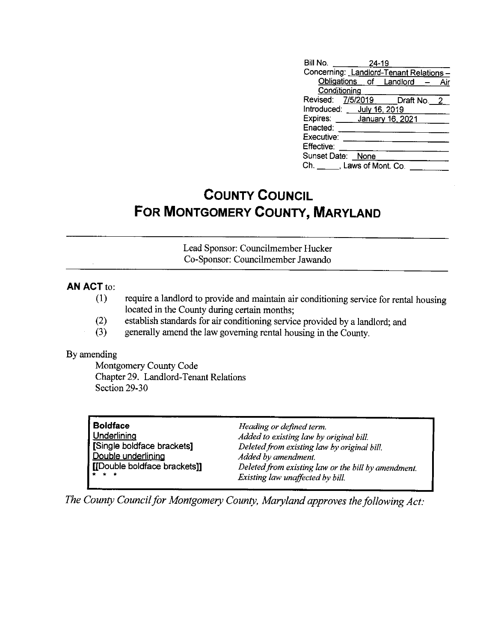| Bill No. 24-19                         |                               |  |
|----------------------------------------|-------------------------------|--|
| Concerning: Landlord-Tenant Relations- |                               |  |
|                                        | Obligations of Landlord - Air |  |
| Conditioning                           |                               |  |
| Revised: 7/5/2019 Draft No. 2          |                               |  |
| Introduced: July 16, 2019              |                               |  |
| Expires: _____ January 16, 2021        |                               |  |
| Enacted:                               |                               |  |
| Executive:                             |                               |  |
| Effective:                             |                               |  |
| Sunset Date: None                      |                               |  |
| $Ch.$ __ __, Laws of Mont. Co.         |                               |  |
|                                        |                               |  |

# **COUNTY COUNCIL FOR MONTGOMERY COUNTY, MARYLAND**

Lead Sponsor: Councilmember Hucker Co-Sponsor: Councilmember Jawando

## **AN ACT** to:

- (1) require a landlord to provide and maintain air conditioning service for rental housing located in the County during certain months;
- (2) establish standards for air conditioning service provided by a landlord; and
- (3) generally amend the law governing rental housing in the County.

## By amending

Montgomery County Code Chapter 29. Landlord-Tenant Relations Section 29-30

| <b>Boldface</b>              | Heading or defined term.                            |
|------------------------------|-----------------------------------------------------|
| Underlining                  | Added to existing law by original bill.             |
| [Single boldface brackets]   | Deleted from existing law by original bill.         |
| Double underlining           | Added by amendment.                                 |
| [[Double boldface brackets]] | Deleted from existing law or the bill by amendment. |
| $\star$ $\star$ $\star$      | Existing law unaffected by bill.                    |
|                              |                                                     |

*The County Council for Montgomery County, Maryland approves the following Act:*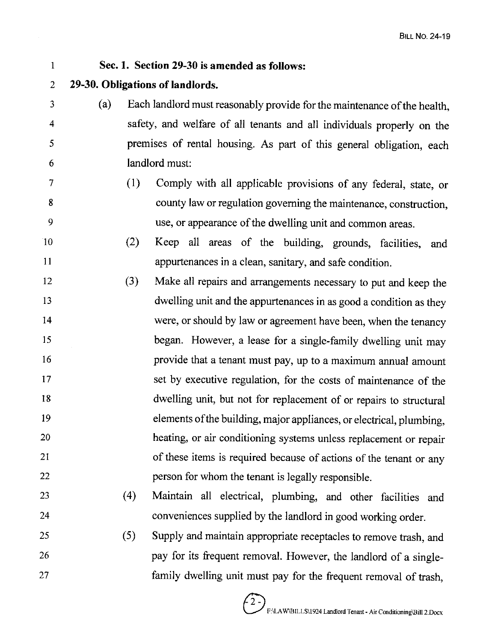1 **Sec. 1. Section 29-30 is amended as follows:**  2 **29-30. Obligations of landlords.**  3 (a) Each landlord must reasonably provide for the maintenance of the health, 4 safety, and welfare of all tenants and all individuals properly on the 5 premises of rental housing. As part of this general obligation, each 6 landlord must: 7 (1) Comply with all applicable provisions of any federal, state, or 8 9 10 11 12 13 14 15 16 17 18 19 20 21 22 23 24 25 26 27 county law or regulation governing the maintenance, construction, use, or appearance of the dwelling unit and common areas. (2) Keep all areas of the building, grounds, facilities, and appurtenances in a clean, sanitary, and safe condition. (3) Make all repairs and arrangements necessary to put and keep the dwelling unit and the appurtenances in as good a condition as they were, or should by law or agreement have been, when the tenancy began. However, a lease for a single-family dwelling unit may provide that a tenant must pay, up to a maximum annual amount set by executive regulation, for the costs of maintenance of the dwelling unit, but not for replacement of or repairs to structural elements of the building, major appliances, or electrical, plumbing, heating, or air conditioning systems unless replacement or repair of these items is required because of actions of the tenant or any person for whom the tenant is legally responsible. ( 4) Maintain all electrical, plumbing, and other facilities and conveniences supplied by the landlord in good working order. (5) Supply and maintain appropriate receptacles to remove trash, and pay for its frequent removal. However, the landlord of a singlefamily dwelling unit must pay for the frequent removal of trash,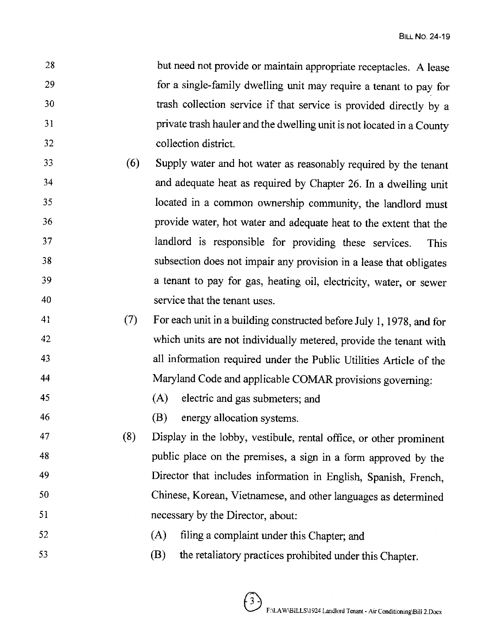- 28 29 30 31 32 but need not provide or maintain appropriate receptacles. A lease for a single-family dwelling unit may require a tenant to pay for trash collection service if that service is provided directly by a private trash hauler and the dwelling unit is not located in a County collection district.
- 33 34 35 36 37 38 39 40 (6) Supply water and hot water as reasonably required by the tenant and adequate heat as required by Chapter 26. In a dwelling unit located in a common ownership community, the landlord must provide water, hot water and adequate heat to the extent that the landlord is responsible for providing these services. This subsection does not impair any provision in a lease that obligates a tenant to pay for gas, heating oil, electricity, water, or sewer service that the tenant uses.
- 41 42 43 44 (7) For each unit in a building constructed before July I, 1978, and for which units are not individually metered, provide the tenant with all information required under the Public Utilities Article of the Maryland Code and applicable COMAR provisions governing:
- 45 (A) electric and gas submeters; and
- 46 (B) energy allocation systems.
- 47 48 49 50 51 (8) Display in the lobby, vestibule, rental office, or other prominent public place on the premises, a sign in a form approved by the Director that includes information in English, Spanish, French, Chinese, Korean, Vietnamese, and other languages as determined necessary by the Director, about:
- 52 (A) filing a complaint under this Chapter; and
- 53 (B) the retaliatory practices prohibited under this Chapter.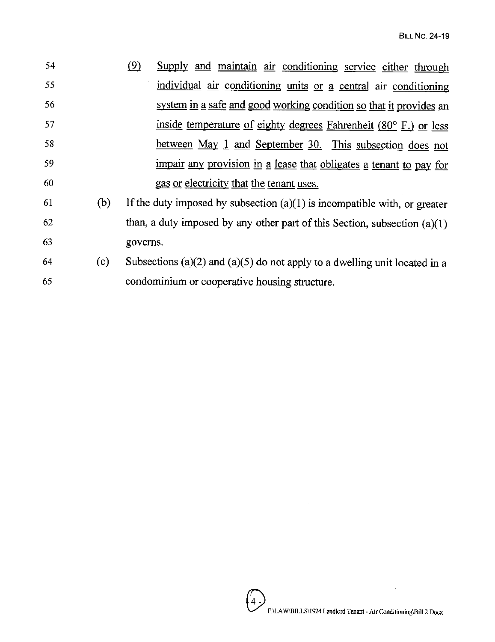| 54 |     | (9)<br>Supply and maintain air conditioning service either through          |
|----|-----|-----------------------------------------------------------------------------|
| 55 |     | individual air conditioning units or a central air conditioning             |
| 56 |     | system in a safe and good working condition so that it provides an          |
| 57 |     | inside temperature of eighty degrees Fahrenheit (80° F.) or less            |
| 58 |     | between May 1 and September 30. This subsection does not                    |
| 59 |     | impair any provision in a lease that obligates a tenant to pay for          |
| 60 |     | gas or electricity that the tenant uses.                                    |
| 61 | (b) | If the duty imposed by subsection $(a)(1)$ is incompatible with, or greater |
| 62 |     | than, a duty imposed by any other part of this Section, subsection $(a)(1)$ |
| 63 |     | governs.                                                                    |
|    |     |                                                                             |

64 (c) Subsections (a)(2) and (a)(5) do not apply to a dwelling unit located in a 65 condominium or cooperative housing structure.

 $\sim$